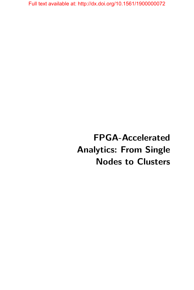# **FPGA-Accelerated Analytics: From Single Nodes to Clusters**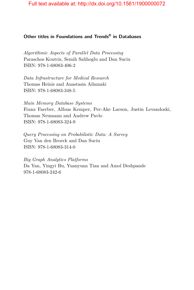# **Other titles in Foundations and Trends® in Databases**

*Algorithmic Aspects of Parallel Data Processing* Paraschos Koutris, Semih Salihoglu and Dan Suciu ISBN: 978-1-68083-406-2

*Data Infrastructure for Medical Research* Thomas Heinis and Anastasia Ailamaki ISBN: 978-1-68083-348-5

*Main Memory Database Systems* Franz Faerber, Alfons Kemper, Per-Ake Larson, Justin Levandoski, Thomas Neumann and Andrew Pavlo ISBN: 978-1-68083-324-9

*Query Processing on Probabilistic Data: A Survey* Guy Van den Broeck and Dan Suciu ISBN: 978-1-68083-314-0

*Big Graph Analytics Platforms* Da Yan, Yingyi Bu, Yuanyuan Tian and Amol Deshpande 978-1-68083-242-6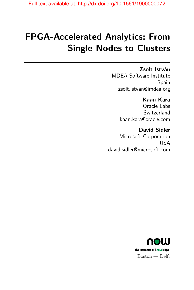# **FPGA-Accelerated Analytics: From Single Nodes to Clusters**

# **Zsolt István**

IMDEA Software Institute Spain zsolt.istvan@imdea.org

# **Kaan Kara**

Oracle Labs Switzerland kaan.kara@oracle.com

# **David Sidler**

Microsoft Corporation USA david.sidler@microsoft.com

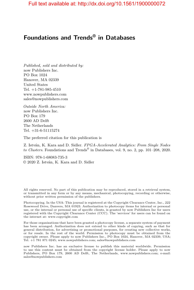# **Foundations and Trends® in Databases**

*Published, sold and distributed by:* now Publishers Inc. PO Box 1024 Hanover, MA 02339 United States Tel. +1-781-985-4510 www.nowpublishers.com sales@nowpublishers.com

*Outside North America:* now Publishers Inc. PO Box 179 2600 AD Delft The Netherlands Tel. +31-6-51115274

The preferred citation for this publication is

Z. István, K. Kara and D. Sidler. *FPGA-Accelerated Analytics: From Single Nodes to Clusters*. Foundations and Trends® in Databases, vol. 9, no. 2, pp. 101–208, 2020.

ISBN: 978-1-68083-735-3 © 2020 Z. István, K. Kara and D. Sidler

All rights reserved. No part of this publication may be reproduced, stored in a retrieval system, or transmitted in any form or by any means, mechanical, photocopying, recording or otherwise, without prior written permission of the publishers.

Photocopying. In the USA: This journal is registered at the Copyright Clearance Center, Inc., 222 Rosewood Drive, Danvers, MA 01923. Authorization to photocopy items for internal or personal use, or the internal or personal use of specific clients, is granted by now Publishers Inc for users registered with the Copyright Clearance Center (CCC). The 'services' for users can be found on the internet at: www.copyright.com

For those organizations that have been granted a photocopy license, a separate system of payment has been arranged. Authorization does not extend to other kinds of copying, such as that for general distribution, for advertising or promotional purposes, for creating new collective works, or for resale. In the rest of the world: Permission to photocopy must be obtained from the copyright owner. Please apply to now Publishers Inc., PO Box 1024, Hanover, MA 02339, USA; Tel. +1 781 871 0245; www.nowpublishers.com; sales@nowpublishers.com

now Publishers Inc. has an exclusive license to publish this material worldwide. Permission to use this content must be obtained from the copyright license holder. Please apply to now Publishers, PO Box 179, 2600 AD Delft, The Netherlands, www.nowpublishers.com; e-mail: sales@nowpublishers.com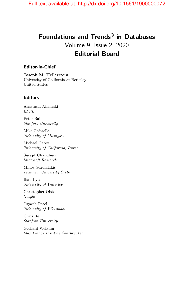# **Foundations and Trends® in Databases** Volume 9, Issue 2, 2020 **Editorial Board**

#### **Editor-in-Chief**

**Joseph M. Hellerstein** University of California at Berkeley United States

#### **Editors**

Anastasia Ailamaki *EPFL*

Peter Bailis *Stanford University*

Mike Cafarella *University of Michigan*

Michael Carey *University of California, Irvine*

Surajit Chaudhuri *Microsoft Research*

Minos Garofalakis *Technical University Crete*

Ihab Ilyas *University of Waterloo*

Christopher Olston *Google*

Jignesh Patel *University of Wisconsin*

Chris Re *Stanford University*

Gerhard Weikum *Max Planck Institute Saarbrücken*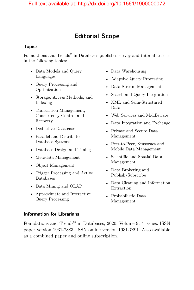# **Editorial Scope**

#### **Topics**

Foundations and Trends<sup>®</sup> in Databases publishes survey and tutorial articles in the following topics:

- Data Models and Query Languages
- Query Processing and Optimization
- Storage, Access Methods, and Indexing
- Transaction Management, Concurrency Control and Recovery
- Deductive Databases
- Parallel and Distributed Database Systems
- Database Design and Tuning
- Metadata Management
- Object Management
- Trigger Processing and Active Databases
- Data Mining and OLAP
- Approximate and Interactive Query Processing
- Data Warehousing
- Adaptive Query Processing
- Data Stream Management
- Search and Query Integration
- XML and Semi-Structured Data
- Web Services and Middleware
- Data Integration and Exchange
- Private and Secure Data Management
- Peer-to-Peer, Sensornet and Mobile Data Management
- Scientific and Spatial Data Management
- Data Brokering and Publish/Subscribe
- Data Cleaning and Information Extraction
- Probabilistic Data Management

#### **Information for Librarians**

Foundations and Trends® in Databases, 2020, Volume 9, 4 issues. ISSN paper version 1931-7883. ISSN online version 1931-7891. Also available as a combined paper and online subscription.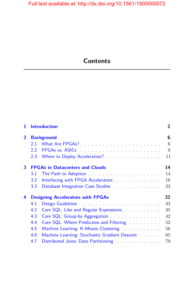# **Contents**

| 1              | <b>Introduction</b><br><b>Background</b>       |                                                                                                                                                                                                                                |    |  |
|----------------|------------------------------------------------|--------------------------------------------------------------------------------------------------------------------------------------------------------------------------------------------------------------------------------|----|--|
| $\overline{2}$ |                                                |                                                                                                                                                                                                                                |    |  |
|                | 2.1                                            |                                                                                                                                                                                                                                | 6  |  |
|                | $2.2^{\circ}$                                  | FPGAs vs. ASICs and a series of the series of the series of the series of the series of the series of the series of the series of the series of the series of the series of the series of the series of the series of the seri | 9  |  |
|                |                                                | 2.3 Where to Deploy Acceleration?                                                                                                                                                                                              | 11 |  |
| 3              | <b>FPGAs in Datacenters and Clouds</b>         |                                                                                                                                                                                                                                |    |  |
|                | 3.1                                            |                                                                                                                                                                                                                                | 14 |  |
|                | $3.2^{\circ}$                                  | Interfacing with FPGA Accelerators                                                                                                                                                                                             | 16 |  |
|                | 3.3                                            | Database Integration Case Studies <b>Example 20</b> and the Database Integration Case Studies                                                                                                                                  | 23 |  |
| 4              | 32<br><b>Designing Accelerators with FPGAs</b> |                                                                                                                                                                                                                                |    |  |
|                | 4.1                                            |                                                                                                                                                                                                                                | 33 |  |
|                | 4.2                                            | Core SQL: Like and Regular Expressions                                                                                                                                                                                         | 35 |  |
|                | 4.3                                            | Core SQL: Group-by Aggregation                                                                                                                                                                                                 | 42 |  |
|                | 4.4                                            | Core SQL: Where Predicates and Filtering                                                                                                                                                                                       | 52 |  |
|                | 4.5                                            | Machine Learning: K-Means Clustering                                                                                                                                                                                           | 56 |  |
|                | 4.6                                            | Machine Learning: Stochastic Gradient Descent                                                                                                                                                                                  | 65 |  |
|                | 4.7                                            | Distributed Joins: Data Partitioning                                                                                                                                                                                           | 79 |  |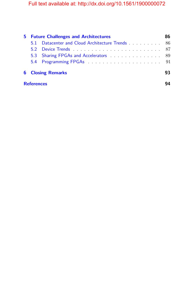| 5.                |                          | <b>Future Challenges and Architectures</b> | 86 |  |
|-------------------|--------------------------|--------------------------------------------|----|--|
|                   |                          |                                            |    |  |
|                   |                          |                                            |    |  |
|                   |                          | 5.3 Sharing FPGAs and Accelerators 89      |    |  |
|                   |                          |                                            |    |  |
|                   | <b>6</b> Closing Remarks |                                            |    |  |
| <b>References</b> |                          |                                            |    |  |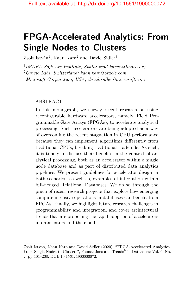# **FPGA-Accelerated Analytics: From Single Nodes to Clusters**

 $Z$ solt István<sup>1</sup>, Kaan Kara<sup>2</sup> and David Sidler<sup>3</sup>

1 *IMDEA Software Institute, Spain; zsolt.istvan@imdea.org*

<sup>2</sup>*Oracle Labs, Switzerland; kaan.kara@oracle.com*

<sup>3</sup>*Microsoft Corporation, USA; david.sidler@microsoft.com*

#### ABSTRACT

In this monograph, we survey recent research on using reconfigurable hardware accelerators, namely, Field Programmable Gate Arrays (FPGAs), to accelerate analytical processing. Such accelerators are being adopted as a way of overcoming the recent stagnation in CPU performance because they can implement algorithms differently from traditional CPUs, breaking traditional trade-offs. As such, it is timely to discuss their benefits in the context of analytical processing, both as an accelerator within a single node database and as part of distributed data analytics pipelines. We present guidelines for accelerator design in both scenarios, as well as, examples of integration within full-fledged Relational Databases. We do so through the prism of recent research projects that explore how emerging compute-intensive operations in databases can benefit from FPGAs. Finally, we highlight future research challenges in programmability and integration, and cover architectural trends that are propelling the rapid adoption of accelerators in datacenters and the cloud.

Zsolt István, Kaan Kara and David Sidler (2020), "FPGA-Accelerated Analytics: From Single Nodes to Clusters", Foundations and Trends<sup>®</sup> in Databases: Vol. 9, No. 2, pp 101–208. DOI: 10.1561/1900000072.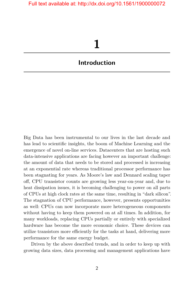# **1**

# <span id="page-9-0"></span>**Introduction**

Big Data has been instrumental to our lives in the last decade and has lead to scientific insights, the boom of Machine Learning and the emergence of novel on-line services. Datacenters that are hosting such data-intensive applications are facing however an important challenge: the amount of data that needs to be stored and processed is increasing at an exponential rate whereas traditional processor performance has been stagnating for years. As Moore's law and Dennard scaling taper off, CPU transistor counts are growing less year-on-year and, due to heat dissipation issues, it is becoming challenging to power on all parts of CPUs at high clock rates at the same time, resulting in "dark silicon". The stagnation of CPU performance, however, presents opportunities as well: CPUs can now incorporate more heterogeneous components without having to keep them powered on at all times. In addition, for many workloads, replacing CPUs partially or entirely with specialized hardware has become the more economic choice. These devices can utilize transistors more efficiently for the tasks at hand, delivering more performance for the same energy budget.

Driven by the above described trends, and in order to keep up with growing data sizes, data processing and management applications have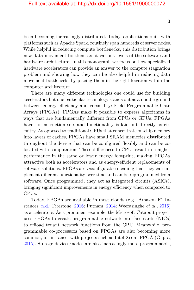been becoming increasingly distributed. Today, applications built with platforms such as Apache Spark, routinely span hundreds of server nodes. While helpful in reducing compute bottlenecks, this distribution brings new data movement bottlenecks at various levels of the software and hardware architecture. In this monograph we focus on how specialized hardware accelerators can provide an answer to the compute stagnation problem and showing how they can be also helpful in reducing data movement bottlenecks by placing them in the right location within the computer architecture.

There are many different technologies one could use for building accelerators but one particular technology stands out as a middle ground between energy efficiency and versatility: Field Programmable Gate Arrays (FPGAs). FPGAs make it possible to express algorithms in ways that are fundamentally different from CPUs or GPUs: FPGAs have no instruction sets and functionality is laid out directly as circuitry. As opposed to traditional CPUs that concentrate on-chip memory into layers of caches, FPGAs have small SRAM memories distributed throughout the device that can be configured flexibly and can be colocated with computation. These differences to CPUs result in a higher performance in the same or lower energy footprint, making FPGAs attractive both as accelerators and as energy-efficient replacements of software solutions. FPGAs are *re*configurable meaning that they can implement different functionality over time and can be reprogrammed from software. Once programmed, they act as integrated circuits (ASICs), bringing significant improvements in energy efficiency when compared to CPUs.

Today, FPGAs are available in most clouds (e.g., Amazon F1 Instances, [n.d.;](#page-13-1) Firestone, [2016;](#page-16-0) Putnam, [2014;](#page-22-0) Weerasinghe *et al.*, [2016\)](#page-25-0) as accelerators. As a prominent example, the Microsoft Catapult project uses FPGAs to create programmable network-interface cards (NICs) to offload tenant network functions from the CPU. Meanwhile, programmable co-processors based on FPGAs are also becoming more common, for instance, with projects such as Intel Xeon+FPGA (Gupta, [2015\)](#page-17-0). Storage devices/nodes are also increasingly more programmable,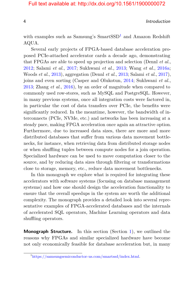4 Introduction

with examples such as Samsung's  $SmartSSD<sup>1</sup>$  $SmartSSD<sup>1</sup>$  $SmartSSD<sup>1</sup>$  and Amazon Redshift AQUA.

Several early projects of FPGA-based database acceleration proposed PCIe-attached accelerator cards a decade ago, demonstrating that FPGAs are able to speed up projection and selection (Dennl *et al.*, [2012;](#page-15-0) Salami *et al.*, [2017;](#page-23-0) Sukhwani *et al.*, [2013;](#page-24-0) Wang *et al.*, [2016a;](#page-25-1) Woods *et al.*, [2013\)](#page-26-0), aggregation (Dennl *et al.*, [2013;](#page-15-1) Salami *et al.*, [2017\)](#page-23-0), joins and even sorting (Casper and Olukotun, [2014;](#page-14-0) Sukhwani *et al.*, [2013;](#page-24-0) Zhang *et al.*, [2016\)](#page-26-1), by an order of magnitude when compared to commonly used row-stores, such as MySQL and PostgreSQL. However, in many previous systems, once all integration costs were factored in, in particular the cost of data transfers over PCIe, the benefits were significantly reduced. In the meantime, however, the bandwidth of interconnects (PCIe, NVMe, etc.) and networks has been increasing at a steady pace, making FPGA acceleration once again an attractive option. Furthermore, due to increased data sizes, there are more and more distributed databases that suffer from various data movement bottlenecks, for instance, when retrieving data from distributed storage nodes or when shuffling tuples between compute nodes for a join operation. Specialized hardware can be used to move computation closer to the source, and by reducing data sizes through filtering or transformations close to storage, memory, etc., reduce data movement bottlenecks.

In this monograph we explore what is required for integrating these accelerators with software systems (focusing on database management systems) and how one should design the acceleration functionality to ensure that the overall speedups in the system are worth the additional complexity. The monograph provides a detailed look into several representative examples of FPGA-accelerated databases and the internals of accelerated SQL operators, Machine Learning operators and data shuffling operators.

**Monograph Structure.** In this section (Section [1\)](#page-9-0), we outlined the reasons why FPGAs and similar specialized hardware have become not only economically feasible for database acceleration but, in many

<span id="page-11-0"></span><sup>1</sup>[https://samsungsemiconductor-us.com/smartssd/index.html.](https://samsungsemiconductor-us.com/smartssd/index.html)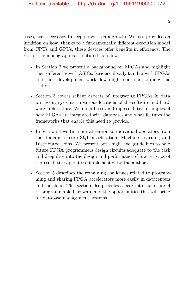cases, even necessary to keep up with data growth. We also provided an intuition on how, thanks to a fundamentally different execution model from CPUs and GPUs, these devices offer benefits in efficiency. The rest of the monograph is structured as follows:

- In Section [2](#page--1-0) we present a background on FPGAs and highlight their differences with ASICs. Readers already familiar with FPGAs and their development work flow might consider skipping this section.
- Section [3](#page--1-0) covers salient aspects of integrating FPGAs in data processing systems, in various locations of the software and hardware architecture. We describe several representative examples of how FPGAs are integrated with databases and what features the frameworks that enable this need to provide.
- In Section [4](#page--1-0) we turn our attention to individual operators from the domain of core SQL acceleration, Machine Learning and Distributed Joins. We present both high level guidelines to help future FPGA programmers design circuits adequate to the task and deep dive into the design and performance characteristics of representative operators, implemented by the authors.
- Section [5](#page--1-0) describes the remaining challenges related to programming and sharing FPGA accelerators more easily in datacenters and the cloud. This section also provides a peek into the future of re-programmable hardware and the opportunities this will bring for database management systems.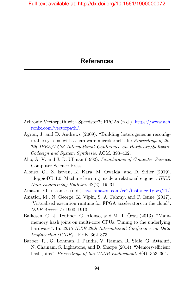- <span id="page-13-0"></span>Achronix Vectorpath with Speedster7t FPGAs (n.d.). [https://www.ach](https://www.achronix.com/vectorpath/) [ronix.com/vectorpath/.](https://www.achronix.com/vectorpath/)
- Agron, J. and D. Andrews (2009). "Building heterogeneous reconfigurable systems with a hardware microkernel". In: *Proceedings of the 7th IEEE/ACM International Conference on Hardware/Software Codesign and System Synthesis*. ACM. 393–402.
- Aho, A. V. and J. D. Ullman (1992). *Foundations of Computer Science*. Computer Science Press.
- Alonso, G., Z. Istvan, K. Kara, M. Owaida, and D. Sidler (2019). "doppioDB 1.0: Machine learning inside a relational engine". *IEEE Data Engineering Bulletin*. 42(2): 19–31.
- <span id="page-13-1"></span>Amazon F1 Instances (n.d.). [aws.amazon.com/ec2/instance-types/f1/.](aws.amazon.com/ec2/instance-types/f1/)
- Asiatici, M., N. George, K. Vipin, S. A. Fahmy, and P. Ienne (2017). "Virtualized execution runtime for FPGA accelerators in the cloud". *IEEE Access*. 5: 1900–1910.
- Balkesen, C., J. Teubner, G. Alonso, and M. T. Özsu (2013). "Mainmemory hash joins on multi-core CPUs: Tuning to the underlying hardware". In: *2013 IEEE 29th International Conference on Data Engineering (ICDE)*. IEEE. 362–373.
- Barber, R., G. Lohman, I. Pandis, V. Raman, R. Sidle, G. Attaluri, N. Chainani, S. Lightstone, and D. Sharpe (2014). "Memory-efficient hash joins". *Proceedings of the VLDB Endowment*. 8(4): 353–364.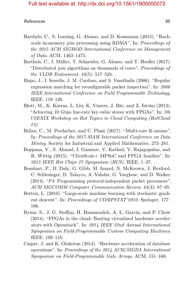- Barthels, C., S. Loesing, G. Alonso, and D. Kossmann (2015). "Rackscale in-memory join processing using RDMA". In: *Proceedings of the 2015 ACM SIGMOD International Conference on Management of Data*. ACM. 1463–1475.
- Barthels, C., I. Müller, T. Schneider, G. Alonso, and T. Hoefler (2017). "Distributed join algorithms on thousands of cores". *Proceedings of the VLDB Endowment*. 10(5): 517–528.
- Bispo, J., I. Sourdis, J. M. Cardoso, and S. Vassiliadis (2006). "Regular expression matching for reconfigurable packet inspection". In: *2006 IEEE International Conference on Field Programmable Technology.* IEEE. 119–126.
- Blott, M., K. Karras, L. Liu, K. Vissers, J. Bär, and Z. Istvàn (2013). "Achieving 10 Gbps line-rate key-value stores with FPGAs". In: *5th USENIX Workshop on Hot Topics in Cloud Computing (HotCloud 13)*.
- Böhm, C., M. Perdacher, and C. Plant (2017). "Multi-core K-means". In: *Proceedings of the 2017 SIAM International Conference on Data Mining*. Society for Industrial and Applied Mathematics. 273–281.
- Boppana, V., S. Ahmad, I. Ganusov, V. Kathail, V. Rajagopalan, and R. Wittig (2015). "UltraScale+ MPSoC and FPGA families". In: *2015 IEEE Hot Chips 27 Symposium (HCS)*. IEEE. 1–37.
- Bosshart, P., D. Daly, G. Gibb, M. Izzard, N. McKeown, J. Rexford, C. Schlesinger, D. Talayco, A. Vahdat, G. Varghese, and D. Walker (2014). "P4: Programming protocol-independent packet processors". *ACM SIGCOMM Computer Communication Review*. 44(3): 87–95.
- Bottou, L. (2010). "Large-scale machine learning with stochastic gradient descent". In: *Proceedings of COMPSTAT'2010*. Springer. 177– 186.
- Byma, S., J. G. Steffan, H. Bannazadeh, A. L. Garcia, and P. Chow (2014). "FPGAs in the cloud: Booting virtualized hardware accelerators with Openstack". In: *2014 IEEE 22nd Annual International Symposium on Field-Programmable Custom Computing Machines*. IEEE. 109–116.
- <span id="page-14-0"></span>Casper, J. and K. Olukotun (2014). "Hardware acceleration of database operations". In: *Proceedings of the 2014 ACM/SIGDA International Symposium on Field-Programmable Gate Arrays*. ACM. 151–160.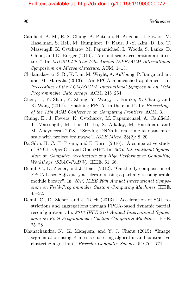es and the contract of the contract of the contract of the contract of the contract of the contract of the contract of the contract of the contract of the contract of the contract of the contract of the contract of the con

- Caulfield, A. M., E. S. Chung, A. Putnam, H. Angepat, I. Fowers, M. Haselman, S. Heil, M. Humphret, P. Kaur, J.-Y. Kim, D. Lo, T. Massengill, K. Ovtcharov, M. Papamichael, L. Woods, S. Lanka, D. Chiou, and D. Burger (2016). "A cloud-scale acceleration architecture". In: *MICRO-49: The 49th Annual IEEE/ACM International Symposium on Microarchitecture*. ACM. 1–13.
- Chalamalasetti, S. R., K. Lim, M. Wright, A. AuYoung, P. Ranganathan, and M. Margala (2013). "An FPGA memcached appliance". In: *Proceedings of the ACM/SIGDA International Symposium on Field Programmable Gate Arrays*. ACM. 245–254.
- Chen, F., Y. Shan, Y. Zhang, Y. Wang, H. Franke, X. Chang, and K. Wang (2014). "Enabling FPGAs in the cloud". In: *Proceedings of the 11th ACM Conference on Computing Frontiers*. ACM. 3.
- Chung, E., J. Fowers, K. Ovtcharov, M. Papamichael, A. Caulfield, T. Massengill, M. Liu, D. Lo, S. Alkalay, M. Haselman, and M. Abeydeera (2018). "Serving DNNs in real time at datacenter scale with project brainwave". *IEEE Micro*. 38(2): 8–20.
- Da Silva, H. C., F. Pisani, and E. Borin (2016). "A comparative study of SYCL, OpenCL, and OpenMP". In: *2016 International Symposium on Computer Architecture and High Performance Computing Workshops (SBAC-PADW)*. IEEE. 61–66.
- <span id="page-15-0"></span>Dennl, C., D. Ziener, and J. Teich (2012). "On-the-fly composition of FPGA-based SQL query accelerators using a partially reconfigurable module library". In: *2012 IEEE 20th Annual International Symposium on Field-Programmable Custom Computing Machines*. IEEE. 45–52.
- <span id="page-15-1"></span>Dennl, C., D. Ziener, and J. Teich (2013). "Acceleration of SQL restrictions and aggregations through FPGA-based dynamic partial reconfiguration". In: *2013 IEEE 21st Annual International Symposium on Field-Programmable Custom Computing Machines*. IEEE. 25–28.
- Dhanachandra, N., K. Manglem, and Y. J. Chanu (2015). "Image segmentation using K-means clustering algorithm and subtractive clustering algorithm". *Procedia Computer Science*. 54: 764–771.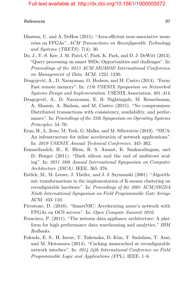- Dhawan, U. and A. DeHon (2015). "Area-efficient near-associative memories on FPGAs". *ACM Transactions on Reconfigurable Technology and Systems (TRETS)*. 7(4): 30.
- Do, J., Y.-S. Kee, J. M. Patel, C. Park, K. Park, and D. J. DeWitt (2013). "Query processing on smart SSDs: Opportunities and challenges". In: *Proceedings of the 2013 ACM SIGMOD International Conference on Management of Data*. ACM. 1221–1230.
- Dragojević, A., D. Narayanan, O. Hodson, and M. Castro (2014). "Farm: Fast remote memory". In: *11th USENIX Symposium on Networked Systems Design and Implementation*. USENIX Association. 401–414.
- Dragojević, A., D. Narayanan, E. B. Nightingale, M. Renzelmann, A. Shamis, A. Badam, and M. Castro (2015). "No compromises: Distributed transactions with consistency, availability, and performance". In: *Proceedings of the 25th Symposium on Operating Systems Principles*. 54–70.
- Eran, H., L. Zeno, M. Tork, G. Malka, and M. Silberstein (2019). "NICA: An infrastructure for inline acceleration of network applications". In: *2019 USENIX Annual Technical Conference*. 345–362.
- Esmaeilzadeh, H., E. Blem, R. S. Amant, K. Sankaralingam, and D. Burger (2011). "Dark silicon and the end of multicore scaling". In: *2011 38th Annual International Symposium on Computer Architecture (ISCA)*. IEEE. 365–376.
- Estlick, M., M. Leeser, J. Theiler, and J. J. Szymanski (2001). "Algorithmic transformations in the implementation of K-means clustering on reconfigurable hardware". In: *Proceedings of the 2001 ACM/SIGDA Ninth International Symposium on Field Programmable Gate Arrays*. ACM. 103–110.
- <span id="page-16-0"></span>Firestone, D. (2016). "SmartNIC: Accelerating azure's network with FPGAs on OCS servers". In: *Open Compute Summit 2016*.
- Francisco, P. (2011). "The netezza data appliance architecture: A platform for high performance data warehousing and analytics." *IBM Redbooks*.
- Fukuda, E. S., H. Inoue, T. Takenaka, D. Kim, T. Sadahisa, T. Asai, and M. Motomura (2014). "Caching memcached at reconfigurable network interface". In: *2014 24th International Conference on Field Programmable Logic and Applications (FPL)*. IEEE. 1–6.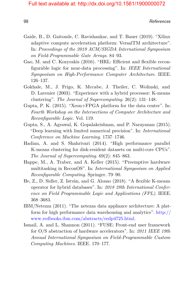es a contract of the contract of the contract of the contract of the contract of the contract of the contract of the contract of the contract of the contract of the contract of the contract of the contract of the contract

- Gaide, B., D. Gaitonde, C. Ravishankar, and T. Bauer (2019). "Xilinx adaptive compute acceleration platform: VersalTM architecture". In: *Proceedings of the 2019 ACM/SIGDA International Symposium on Field-Programmable Gate Arrays*. 84–93.
- Gao, M. and C. Kozyrakis (2016). "HRL: Efficient and flexible reconfigurable logic for near-data processing". In: *IEEE International Symposium on High-Performance Computer Architecture*. IEEE. 126–137.
- Gokhale, M., J. Frigo, K. Mccabe, J. Theiler, C. Wolinski, and D. Lavenier (2003). "Experience with a hybrid processor: K-means clustering". *The Journal of Supercomputing*. 26(2): 131–148.
- <span id="page-17-0"></span>Gupta, P. K. (2015). "Xeon+FPGA platform for the data center". In: *Fourth Workshop on the Intersections of Computer Architecture and Reconfigurable Logic*. Vol. 119.
- Gupta, S., A. Agrawal, K. Gopalakrishnan, and P. Narayanan (2015). "Deep learning with limited numerical precision". In: *International Conference on Machine Learning*. 1737–1746.
- Hadian, A. and S. Shahrivari (2014). "High performance parallel K-means clustering for disk-resident datasets on multi-core CPUs". *The Journal of Supercomputing*. 69(2): 845–863.
- Happe, M., A. Traber, and A. Keller (2015). "Preemptive hardware multitasking in ReconOS". In: *International Symposium on Applied Reconfigurable Computing*. Springer. 79–90.
- He, Z., D. Sidler, Z. István, and G. Alonso (2018). "A flexible K-means operator for hybrid databases". In: *2018 28th International Conference on Field Programmable Logic and Applications (FPL)*. IEEE. 368–3683.
- IBM/Netezza (2011). "The netezza data appliance architecture: A platform for high performance data warehousing and analytics". [http://](http://www.redbooks.ibm.com/abstracts/redp4725.html) [www.redbooks.ibm.com/abstracts/redp4725.html.](http://www.redbooks.ibm.com/abstracts/redp4725.html)
- Ismail, A. and L. Shannon (2011). "FUSE: Front-end user framework for O/S abstraction of hardware accelerators". In: *2011 IEEE 19th Annual International Symposium on Field-Programmable Custom Computing Machines*. IEEE. 170–177.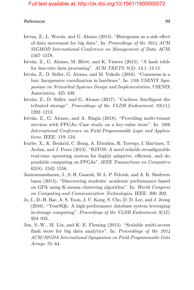- Istvan, Z., L. Woods, and G. Alonso (2014). "Histograms as a side effect of data movement for big data". In: *Proceedings of the 2014 ACM SIGMOD International Conference on Management of Data*. ACM. 1567–1578.
- István, Z., G. Alonso, M. Blott, and K. Vissers (2015). "A hash table for line-rate data processing". *ACM TRETS*. 8(2): 13.1–13.15.
- István, Z., D. Sidler, G. Alonso, and M. Vukolic (2016). "Consensus in a box: Inexpensive coordination in hardware". In: *13th USENIX Symposium on Networked Systems Design and Implementation*. USENIX Association. 425–438.
- István, Z., D. Sidler, and G. Alonso (2017). "Caribou: Intelligent distributed storage". *Proceedings of the VLDB Endowment*. 10(11): 1202–1213.
- István, Z., G. Alonso, and A. Singla (2018). "Providing multi-tenant services with FPGAs: Case study on a key-value store". In: *28th International Conference on Field Programmable Logic and Applications*. IEEE. 119–124.
- Iturbe, X., K. Benkrid, C. Hong, A. Ebrahim, R. Torrego, I. Martinez, T. Arslan, and J. Perez (2013). "R3TOS: A novel reliable reconfigurable real-time operating system for highly adaptive, efficient, and dependable computing on FPGAs". *IEEE Transactions on Computers*. 62(8): 1542–1556.
- Jamesmanoharan, J., S. H. Ganesh, M. L. P. Felciah, and A. K. Shafreenbanu (2014). "Discovering students' academic performance based on GPA using K-means clustering algorithm". In: *World Congress on Computing and Communication Technologies*. IEEE. 200–202.
- Jo, I., D.-H. Bae, A. S. Yoon, J. U. Kang, S. Cho, D. D. Lee, and J. Jeong (2016). "YourSQL: A high-performance database system leveraging in-storage computing". *Proceedings of the VLDB Endowment*. 9(12): 924–935.
- Jun, S.-W., M. Liu, and K. E. Fleming (2014). "Scalable multi-access flash store for big data analytics". In: *Proceedings of the 2014 ACM/SIGDA International Symposium on Field-Programmable Gate Arrays*. 55–64.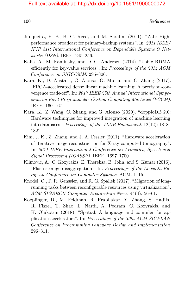- Junqueira, F. P., B. C. Reed, and M. Serafini (2011). "Zab: Highperformance broadcast for primary-backup systems". In: *2011 IEEE/ IFIP 41st International Conference on Dependable Systems & Networks (DSN)*. IEEE. 245–256.
- Kalia, A., M. Kaminsky, and D. G. Andersen (2014). "Using RDMA efficiently for key-value services". In: *Proceedings of the 2014 ACM Conference on SIGCOMM*. 295–306.
- Kara, K., D. Alistarh, G. Alonso, O. Mutlu, and C. Zhang (2017). "FPGA-accelerated dense linear machine learning: A precision-convergence trade-off". In: *2017 IEEE 25th Annual International Symposium on Field-Programmable Custom Computing Machines (FCCM)*. IEEE. 160–167.
- Kara, K., Z. Wang, C. Zhang, and G. Alonso (2020). "doppioDB 2.0: Hardware techniques for improved integration of machine learning into databases". *Proceedings of the VLDB Endowment*. 12(12): 1818– 1821.
- Kim, J. K., Z. Zhang, and J. A. Fessler (2011). "Hardware acceleration of iterative image reconstruction for X-ray computed tomography". In: *2011 IEEE International Conference on Acoustics, Speech and Signal Processing (ICASSP)*. IEEE. 1697–1700.
- Klimovic, A., C. Kozyrakis, E. Thereksa, B. John, and S. Kumar (2016). "Flash storage disaggregation". In: *Proceedings of the Eleventh European Conference on Computer Systems*. ACM. 1–15.
- Knodel, O., P. R. Genssler, and R. G. Spallek (2017). "Migration of longrunning tasks between reconfigurable resources using virtualization". *ACM SIGARCH Computer Architecture News*. 44(4): 56–61.
- Koeplinger, D., M. Feldman, R. Prabhakar, Y. Zhang, S. Hadjis, R. Fiszel, T. Zhao, L. Nardi, A. Pedram, C. Kozyrakis, and K. Olukotun (2018). "Spatial: A language and compiler for application accelerators". In: *Proceedings of the 39th ACM SIGPLAN Conference on Programming Language Design and Implementation*. 296–311.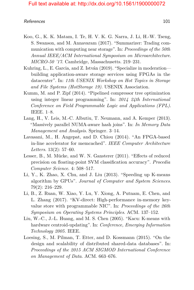#### References and the set of the set of the set of the set of the set of the set of the set of the set of the set of the set of the set of the set of the set of the set of the set of the set of the set of the set of the set o

- Koo, G., K. K. Matam, I. Te, H. V. K. G. Narra, J. Li, H.-W. Tseng, S. Swanson, and M. Annavaram (2017). "Summarizer: Trading communication with computing near storage". In: *Proceedings of the 50th Annual IEEE/ACM International Symposium on Microarchitecture*. *MICRO-50 '17*. Cambridge, Massachusetts. 219–231.
- Kuhring, L., E. Garcia, and Z. István (2019). "Specialize in moderation building application-aware storage services using FPGAs in the datacenter". In: *11th USENIX Workshop on Hot Topics in Storage and File Systems (HotStorage 19)*. USENIX Association.
- Kumm, M. and P. Zipf (2014). "Pipelined compressor tree optimization using integer linear programming". In: *2014 24th International Conference on Field Programmable Logic and Applications (FPL)*. IEEE. 1–8.
- Lang, H., V. Leis, M.-C. Albutiu, T. Neumann, and A. Kemper (2013). "Massively parallel NUMA-aware hash joins". In: *In Memory Data Management and Analysis*. Springer. 3–14.
- Lavasani, M., H. Angepat, and D. Chiou (2014). "An FPGA-based in-line accelerator for memcached". *IEEE Computer Architecture Letters*. 13(2): 57–60.
- Lesser, B., M. Mücke, and W. N. Gansterer (2011). "Effects of reduced precision on floating-point SVM classification accuracy". *Procedia Computer Science*. 4: 508–517.
- Li, Y., K. Zhao, X. Chu, and J. Liu (2013). "Speeding up K-means algorithm by GPUs". *Journal of Computer and System Sciences*. 79(2): 216–229.
- Li, B., Z. Ruan, W. Xiao, Y. Lu, Y. Xiong, A. Putnam, E. Chen, and L. Zhang (2017). "KV-direct: High-performance in-memory keyvalue store with programmable NIC". In: *Proceedings of the 26th Symposium on Operating Systems Principles*. ACM. 137–152.
- Liu, W.-C., J.-L. Huang, and M. S. Chen (2005). "Kacu: K-means with hardware centroid-updating". In: *Conference, Emerging Information Technology 2005.* IEEE.
- Loesing, S., M. Pilman, T. Etter, and D. Kossmann (2015). "On the design and scalability of distributed shared-data databases". In: *Proceedings of the 2015 ACM SIGMOD International Conference on Management of Data*. ACM. 663–676.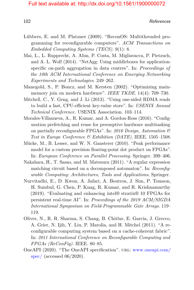102

- Lübbers, E. and M. Platzner (2009). "ReconOS: Multithreaded programming for reconfigurable computers". *ACM Transactions on Embedded Computing Systems (TECS)*. 9(1): 8.
- Mai, L., L. Rupprecht, A. Alim, P. Costa, M. Migliavacca, P. Pietzuch, and A. L. Wolf (2014). "NetAgg: Using middleboxes for applicationspecific on-path aggregation in data centres". In: *Proceedings of the 10th ACM International Conference on Emerging Networking Experiments and Technologies*. 249–262.
- Manegold, S., P. Boncz, and M. Kersten (2002). "Optimizing mainmemory join on modern hardware". *IEEE TKDE*. 14(4): 709–730.
- Mitchell, C., Y. Geng, and J. Li (2013). "Using one-sided RDMA reads to build a fast, CPU-efficient key-value store". In: *USENIX Annual Technical Conference.* USENIX Association. 103–114.
- Morales-Villanueva, A., R. Kumar, and A. Gordon-Ross (2016). "Configuration prefetching and reuse for preemptive hardware multitasking on partially reconfigurable FPGAs". In: *2016 Design, Automation & Test in Europe Conference & Exhibition (DATE)*. IEEE. 1505–1508.
- Mücke, M., B. Lesser, and W. N. Gansterer (2010). "Peak performance model for a custom precision floating-point dot product on FPGAs". In: *European Conference on Parallel Processing*. Springer. 399–406.
- Nakahara, H., T. Sasao, and M. Matsuura (2011). "A regular expression matching circuit based on a decomposed automaton". In: *Reconfigurable Computing: Architectures, Tools and Applications*. Springer.
- Nurvitadhi, E., D. Kwon, A. Jafari, A. Boutros, J. Sim, P. Tomson, H. Sumbul, G. Chen, P. Knag, R. Kumar, and R. Krishnamurthy (2019). "Evaluating and enhancing intel® stratix® 10 FPGAs for persistent real-time AI". In: *Proceedings of the 2019 ACM/SIGDA International Symposium on Field-Programmable Gate Arrays*. 119– 119.
- Oliver, N., R. R. Sharma, S. Chang, B. Chitlur, E. Garcia, J. Grecco, A. Grier, N. Ijih, Y. Liu, P. Marolia, and H. Mitchel (2011). "A reconfigurable computing system based on a cache-coherent fabric". In: *2011 International Conference on Reconfigurable Computing and FPGAs (ReConFig)*. IEEE. 80–85.
- OneAPI (2020). "The OneAPI specification". url: [www.oneapi.com/](www.oneapi.com/spec/) [spec/](www.oneapi.com/spec/) (accessed  $06/2020$ ).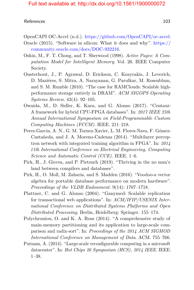#### References and the set of the set of the set of the set of the set of the set of the set of the set of the set of the set of the set of the set of the set of the set of the set of the set of the set of the set of the set o

OpenCAPI OC-Accel (n.d.). [https://github.com/OpenCAPI/oc-accel.](https://github.com/OpenCAPI/oc-accel)

- Oracle (2015). "Software in silicon: What it does and why". [https://](https://community.oracle.com/docs/DOC-932216) [community.oracle.com/docs/DOC-932216.](https://community.oracle.com/docs/DOC-932216)
- Oskin, M., F. T. Chong, and T. Sherwood (1998). *Active Pages: A Computation Model for Intelligent Memory*. Vol. 26. IEEE Computer Society.
- Ousterhout, J., P. Agrawal, D. Erickson, C. Kozyrakis, J. Leverich, D. Maziéres, S. Mitra, A. Narayanan, G. Parulkar, M. Rosenblum, and S. M. Rumble (2010). "The case for RAMClouds: Scalable highperformance storage entirely in DRAM". *ACM SIGOPS Operating Systems Review*. 43(4): 92–105.
- Owaida, M., D. Sidler, K. Kara, and G. Alonso (2017). "Centaur: A framework for hybrid CPU-FPGA databases". In: *2017 IEEE 25th Annual International Symposium on Field-Programmable Custom Computing Machines (FCCM)*. IEEE. 211–218.
- Perez-Garcia, A. N., G. M. Tornez-Xavier, L. M. Flores-Nava, F. Gómez-Castañeda, and J. A. Moreno-Cadenas (2014). "Multilayer perceptron network with integrated training algorithm in FPGA". In: *2014 11th International Conference on Electrical Engineering, Computing Science and Automatic Control (CCE)*. IEEE. 1–6.
- Pirk, H., J. Giceva, and P. Pietzuch (2019). "Thriving in the no man's land between compilers and databases".
- Pirk, H., O. Moll, M. Zaharia, and S. Madden (2016). "Voodoo-a vector algebra for portable database performance on modern hardware". *Proceedings of the VLDB Endowment*. 9(14): 1707–1718.
- Plattner, C. and G. Alonso (2004). "Ganymed: Scalable replication for transactional web applications". In: *ACM/IFIP/USENIX International Conference on Distributed Systems Platforms and Open Distributed Processing*. Berlin, Heidelberg: Springer. 155–174.
- Polychroniou, O. and K. A. Ross (2014). "A comprehensive study of main-memory partitioning and its application to large-scale comparison and radix-sort". In: *Proceedings of the 2014 ACM SIGMOD International Conference on Management of Data*. ACM. 755–766.
- <span id="page-22-0"></span>Putnam, A. (2014). "Large-scale reconfigurable computing in a microsoft datacenter". In: *Hot Chips 26 Symposium (HCS), 2014 IEEE*. IEEE. 1–38.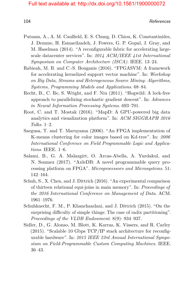- Putnam, A., A. M. Caulfield, E. S. Chung, D. Chiou, K. Constantinides, J. Demme, H. Esmaeilzadeh, J. Fowers, G. P. Gopal, J. Gray, and M. Haselman (2014). "A reconfigurable fabric for accelerating largescale datacenter services". In: *2014 ACM/IEEE 41st International Symposium on Computer Architecture (ISCA)*. IEEE. 13–24.
- Rabieah, M. B. and C.-S. Bouganis (2016). "FPGASVM: A framework for accelerating kernelized support vector machine". In: *Workshop on Big Data, Streams and Heterogeneous Source Mining: Algorithms, Systems, Programming Models and Applications*. 68–84.
- Recht, B., C. Re, S. Wright, and F. Niu (2011). "Hogwild: A lock-free approach to parallelizing stochastic gradient descent". In: *Advances in Neural Information Processing Systems*. 693–701.
- Root, C. and T. Mostak (2016). "MapD: A GPU-powered big data analytics and visualization platform". In: *ACM SIGGRAPH 2016 Talks*. 1–2.
- Saegusa, T. and T. Maruyama (2006). "An FPGA implementation of K-means clustering for color images based on Kd-tree". In: *2006 International Conference on Field Programmable Logic and Applications*. IEEE. 1–6.
- <span id="page-23-0"></span>Salami, B., G. A. Malazgirt, O. Arcas-Abella, A. Yurdakul, and N. Sonmez (2017). "AxleDB: A novel programmable query processing platform on FPGA". *Microprocessors and Microsystems*. 51: 142–164.
- Schuh, S., X. Chen, and J. Dittrich (2016). "An experimental comparison of thirteen relational equi-joins in main memory". In: *Proceedings of the 2016 International Conference on Management of Data*. ACM. 1961–1976.
- Schuhknecht, F. M., P. Khanchandani, and J. Dittrich (2015). "On the surprising difficulty of simple things: The case of radix partitioning". *Proceedings of the VLDB Endowment*. 8(9): 934–937.
- Sidler, D., G. Alonso, M. Blott, K. Karras, K. Vissers, and R. Carley (2015). "Scalable 10 Gbps TCP/IP stack architecture for reconfigurable hardware". In: *2015 IEEE 23rd Annual International Symposium on Field-Programmable Custom Computing Machines.* IEEE. 36–43.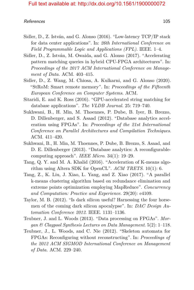#### References and the set of the set of the set of the set of the set of the set of the set of the set of the set of the set of the set of the set of the set of the set of the set of the set of the set of the set of the set o

- Sidler, D., Z. István, and G. Alonso (2016). "Low-latency TCP/IP stack for data center applications". In: *26th International Conference on Field Programmable Logic and Applications (FPL)*. IEEE. 1–4.
- Sidler, D., Z. István, M. Owaida, and G. Alonso (2017). "Accelerating pattern matching queries in hybrid CPU-FPGA architectures". In: *Proceedings of the 2017 ACM International Conference on Management of Data.* ACM. 403–415.
- Sidler, D., Z. Wang, M. Chiosa, A. Kulkarni, and G. Alonso (2020). "StRoM: Smart remote memory". In: *Proceedings of the Fifteenth European Conference on Computer Systems*. ACM.
- Sitaridi, E. and K. Ross (2016). "GPU-accelerated string matching for database applications". *The VLDB Journal*. 25: 719–740.
- Sukhwani, B., H. Min, M. Thoennes, P. Dube, B. Iyer, B. Brezzo, D. Dillenberger, and S. Asaad (2012). "Database analytics acceleration using FPGAs". In: *Proceedings of the 21st International Conference on Parallel Architectures and Compilation Techniques*. ACM. 411–420.
- <span id="page-24-0"></span>Sukhwani, B., H. Min, M. Thoennes, P. Dube, B. Brezzo, S. Asaad, and D. E. Dillenberger (2013). "Database analytics: A reconfigurablecomputing approach". *IEEE Micro*. 34(1): 19–29.
- Tang, Q. Y. and M. A. Khalid (2016). "Acceleration of K-means algorithm using Altera SDK for OpenCL". *ACM TRETS*. 10(1): 6.
- Tang, Z., K. Liu, J. Xiao, L. Yang, and Z. Xiao (2017). "A parallel k-means clustering algorithm based on redundance elimination and extreme points optimization employing MapReduce". *Concurrency and Computation: Practice and Experience*. 29(20): e4109.
- Taylor, M. B. (2012). "Is dark silicon useful? Harnessing the four horsemen of the coming dark silicon apocalypse". In: *DAC Design Automation Conference 2012*. IEEE. 1131–1136.
- Teubner, J. and L. Woods (2013). "Data processing on FPGAs". *Morgan & Claypool Synthesis Lectures on Data Management*. 5(2): 1–118.
- Teubner, J., L. Woods, and C. Nie (2012). "Skeleton automata for FPGAs: Reconfiguring without reconstructing". In: *Proceedings of the 2012 ACM SIGMOD International Conference on Management of Data.* ACM. 229–240.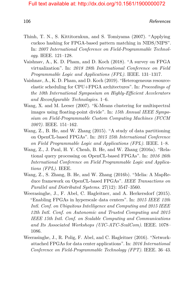- Thinh, T. N., S. Kittitornkun, and S. Tomiyama (2007). "Applying cuckoo hashing for FPGA-based pattern matching in NIDS/NIPS". In: *2007 International Conference on Field-Programmable Technology*. IEEE. 121–128.
- Vaishnav, A., K. D. Pham, and D. Koch (2018). "A survey on FPGA virtualization". In: *2018 28th International Conference on Field Programmable Logic and Applications (FPL)*. IEEE. 131–1317.
- Vaishnav, A., K. D. Pham, and D. Koch (2019). "Heterogeneous resourceelastic scheduling for CPU+FPGA architectures". In: *Proceedings of the 10th International Symposium on Highly-Efficient Accelerators and Reconfigurable Technologies*. 1–6.
- Wang, X. and M. Leeser (2007). "K-Means clustering for multispectral images using floating-point divide". In: *15th Annual IEEE Symposium on Field-Programmable Custom Computing Machines (FCCM 2007)*. IEEE. 151–162.
- Wang, Z., B. He, and W. Zhang (2015). "A study of data partitioning on OpenCL-based FPGAs". In: *2015 25th International Conference on Field Programmable Logic and Applications (FPL)*. IEEE. 1–8.
- <span id="page-25-1"></span>Wang, Z., J. Paul, H. Y. Cheah, B. He, and W. Zhang (2016a). "Relational query processing on OpenCL-based FPGAs". In: *2016 26th International Conference on Field Programmable Logic and Applications (FPL)*. IEEE.
- Wang, Z., S. Zhang, B. He, and W. Zhang (2016b). "Melia: A MapReduce framework on OpenCL-based FPGAs". *IEEE Transactions on Parallel and Distributed Systems*. 27(12): 3547–3560.
- Weerasinghe, J., F. Abel, C. Hagleitner, and A. Herkersdorf (2015). "Enabling FPGAs in hyperscale data centers". In: *2015 IEEE 12th Intl. Conf. on Ubiquitous Intelligence and Computing and 2015 IEEE 12th Intl. Conf. on Autonomic and Trusted Computing and 2015 IEEE 15th Intl. Conf. on Scalable Computing and Communications and Its Associated Workshops (UIC-ATC-ScalCom)*. IEEE. 1078– 1086.
- <span id="page-25-0"></span>Weerasinghe, J., R. Polig, F. Abel, and C. Hagleitner (2016). "Networkattached FPGAs for data center applications". In: *2016 International Conference on Field-Programmable Technology (FPT)*. IEEE. 36–43.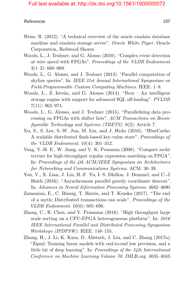#### References and the set of the set of the set of the set of the set of the set of the set of the set of the set of the set of the set of the set of the set of the set of the set of the set of the set of the set of the set o

- Weiss, R. (2012). "A technical overview of the oracle exadata database machine and exadata storage server". *Oracle White Paper.* Oracle Corporation, Redwood Shores.
- Woods, L., J. Teubner, and G. Alonso (2010). "Complex event detection at wire speed with FPGAs". *Proceedings of the VLDB Endowment*.  $3(1-2): 660-669.$
- <span id="page-26-0"></span>Woods, L., G. Alonso, and J. Teubner (2013). "Parallel computation of skyline queries". In: *IEEE 21st Annual International Symposium on Field-Programmable Custom Computing Machines*. IEEE. 1–8.
- Woods, L., Z. István, and G. Alonso (2014). "Ibex An intelligent storage engine with support for advanced SQL off-loading". *PVLDB*. 7(11): 963–974.
- Woods, L., G. Alonso, and J. Teubner (2015). "Parallelizing data processing on FPGAs with shifter lists". *ACM Transactions on Reconfigurable Technology and Systems (TRETS)*. 8(2): Article 7.
- Xu, S., S. Lee, S.-W. Jun, M. Liu, and J. Hicks (2016). "BlueCache: A scalable distributed flash-based key-value store". *Proceedings of the VLDB Endowment*. 10(4): 301–312.
- Yang, Y.-H. E., W. Jiang, and V. K. Prasanna (2008). "Compact architecture for high-throughput regular expression matching on FPGA". In: *Proceedings of the 4th ACM/IEEE Symposium on Architectures for Networking and Communications Systems*. ACM. 30–39.
- You, Y., X. Lian, J. Liu, H.-F. Yu, I. S. Dhillon, J. Demmel, and C.-J. Hsieh (2016). "Asynchronous parallel greedy coordinate descent". In: *Advances in Neural Information Processing Systems*. 4682–4690.
- Zamanian, E., C. Binnig, T. Harris, and T. Kraska (2017). "The end of a myth: Distributed transactions can scale". *Proceedings of the VLDB Endowment*. 10(6): 685–696.
- <span id="page-26-1"></span>Zhang, C., R. Chen, and V. Prasanna (2016). "High throughput large scale sorting on a CPU-FPGA heterogeneous platform". In: *2016 IEEE International Parallel and Distributed Processing Symposium Workshops (IPDPSW)*. IEEE. 148–155.
- Zhang, H., J. Li, K. Kara, D. Alistarh, J. Liu, and C. Zhang (2017a). "Zipml: Training linear models with end-to-end low precision, and a little bit of deep learning". In: *Proceedings of the 34th International Conference on Machine Learning-Volume 70*. JMLR.org. 4035–4043.